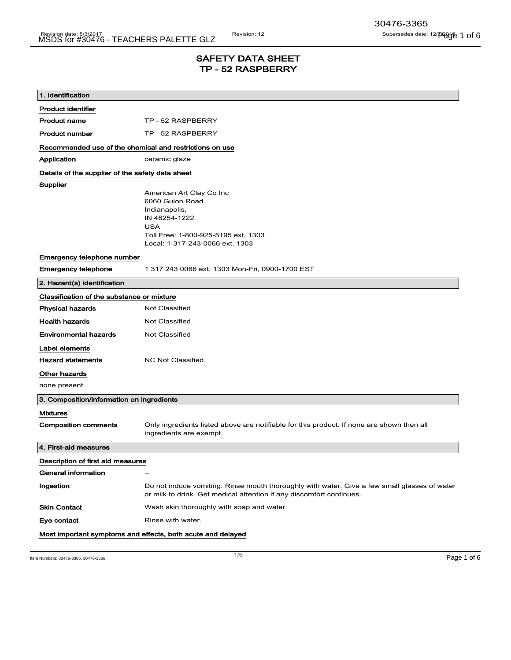# SAFETY DATA SHEET TP - 52 RASPBERRY

| 1. Identification                                       |                                                                                                                                                                       |  |
|---------------------------------------------------------|-----------------------------------------------------------------------------------------------------------------------------------------------------------------------|--|
| <b>Product identifier</b>                               |                                                                                                                                                                       |  |
| <b>Product name</b>                                     | TP - 52 RASPBERRY                                                                                                                                                     |  |
| <b>Product number</b>                                   | TP - 52 RASPBERRY                                                                                                                                                     |  |
| Recommended use of the chemical and restrictions on use |                                                                                                                                                                       |  |
| Application                                             | ceramic glaze                                                                                                                                                         |  |
| Details of the supplier of the safety data sheet        |                                                                                                                                                                       |  |
| Supplier                                                | American Art Clay Co Inc<br>6060 Guion Road<br>Indianapolis,<br>IN 46254-1222<br><b>USA</b><br>Toll Free: 1-800-925-5195 ext. 1303<br>Local: 1-317-243-0066 ext. 1303 |  |
| Emergency telephone number                              |                                                                                                                                                                       |  |
| <b>Emergency telephone</b>                              | 1 317 243 0066 ext. 1303 Mon-Fri, 0900-1700 EST                                                                                                                       |  |
| 2. Hazard(s) identification                             |                                                                                                                                                                       |  |
| Classification of the substance or mixture              |                                                                                                                                                                       |  |
| <b>Physical hazards</b>                                 | Not Classified                                                                                                                                                        |  |
| <b>Health hazards</b>                                   | Not Classified                                                                                                                                                        |  |
| <b>Environmental hazards</b>                            | Not Classified                                                                                                                                                        |  |
| Label elements                                          |                                                                                                                                                                       |  |
| <b>Hazard statements</b>                                | <b>NC Not Classified</b>                                                                                                                                              |  |
| Other hazards                                           |                                                                                                                                                                       |  |
| none present                                            |                                                                                                                                                                       |  |
| 3. Composition/information on ingredients               |                                                                                                                                                                       |  |
| <b>Mixtures</b>                                         |                                                                                                                                                                       |  |
| <b>Composition comments</b>                             | Only ingredients listed above are notifiable for this product. If none are shown then all<br>ingredients are exempt.                                                  |  |
| 4. First-aid measures                                   |                                                                                                                                                                       |  |
| Description of first aid measures                       |                                                                                                                                                                       |  |
| General information                                     | --                                                                                                                                                                    |  |
| Ingestion                                               | Do not induce vomiting. Rinse mouth thoroughly with water. Give a few small glasses of water<br>or milk to drink. Get medical attention if any discomfort continues.  |  |
| <b>Skin Contact</b>                                     | Wash skin thoroughly with soap and water.                                                                                                                             |  |
| Eye contact                                             | Rinse with water.                                                                                                                                                     |  |
|                                                         | Most important symptoms and effects, both acute and delayed                                                                                                           |  |
|                                                         |                                                                                                                                                                       |  |

Item Numbers: 30476-3365, 30476-3366 Page 1 of 6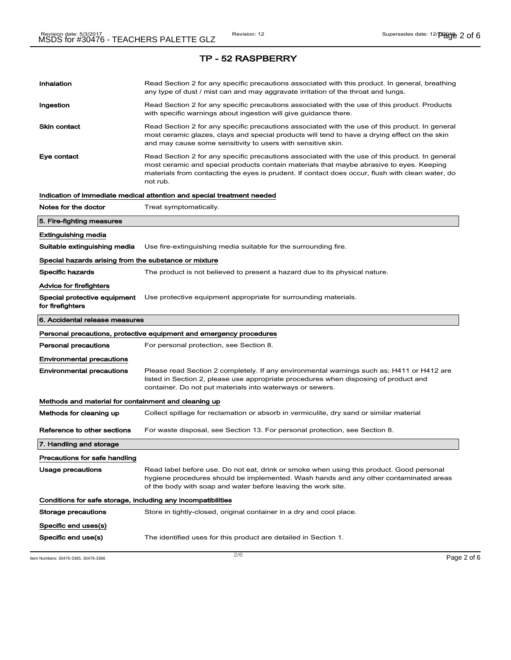| Inhalation                                                   | Read Section 2 for any specific precautions associated with this product. In general, breathing<br>any type of dust / mist can and may aggravate irritation of the throat and lungs.                                                                                                                        |
|--------------------------------------------------------------|-------------------------------------------------------------------------------------------------------------------------------------------------------------------------------------------------------------------------------------------------------------------------------------------------------------|
| Ingestion                                                    | Read Section 2 for any specific precautions associated with the use of this product. Products<br>with specific warnings about ingestion will give guidance there.                                                                                                                                           |
| Skin contact                                                 | Read Section 2 for any specific precautions associated with the use of this product. In general<br>most ceramic glazes, clays and special products will tend to have a drying effect on the skin<br>and may cause some sensitivity to users with sensitive skin.                                            |
| Eye contact                                                  | Read Section 2 for any specific precautions associated with the use of this product. In general<br>most ceramic and special products contain materials that maybe abrasive to eyes. Keeping<br>materials from contacting the eyes is prudent. If contact does occur, flush with clean water, do<br>not rub. |
|                                                              | Indication of immediate medical attention and special treatment needed                                                                                                                                                                                                                                      |
| Notes for the doctor                                         | Treat symptomatically.                                                                                                                                                                                                                                                                                      |
| 5. Fire-fighting measures                                    |                                                                                                                                                                                                                                                                                                             |
| Extinguishing media                                          |                                                                                                                                                                                                                                                                                                             |
| Suitable extinguishing media                                 | Use fire-extinguishing media suitable for the surrounding fire.                                                                                                                                                                                                                                             |
| Special hazards arising from the substance or mixture        |                                                                                                                                                                                                                                                                                                             |
| <b>Specific hazards</b>                                      | The product is not believed to present a hazard due to its physical nature.                                                                                                                                                                                                                                 |
| Advice for firefighters                                      |                                                                                                                                                                                                                                                                                                             |
| for firefighters                                             | Special protective equipment Use protective equipment appropriate for surrounding materials.                                                                                                                                                                                                                |
| 6. Accidental release measures                               |                                                                                                                                                                                                                                                                                                             |
|                                                              | Personal precautions, protective equipment and emergency procedures                                                                                                                                                                                                                                         |
| Personal precautions                                         | For personal protection, see Section 8.                                                                                                                                                                                                                                                                     |
| <b>Environmental precautions</b>                             |                                                                                                                                                                                                                                                                                                             |
| Environmental precautions                                    | Please read Section 2 completely. If any environmental warnings such as; H411 or H412 are<br>listed in Section 2, please use appropriate procedures when disposing of product and<br>container. Do not put materials into waterways or sewers.                                                              |
| Methods and material for containment and cleaning up         |                                                                                                                                                                                                                                                                                                             |
| Methods for cleaning up                                      | Collect spillage for reclamation or absorb in vermiculite, dry sand or similar material                                                                                                                                                                                                                     |
| Reference to other sections                                  | For waste disposal, see Section 13. For personal protection, see Section 8.                                                                                                                                                                                                                                 |
| 7. Handling and storage                                      |                                                                                                                                                                                                                                                                                                             |
| Precautions for safe handling                                |                                                                                                                                                                                                                                                                                                             |
| <b>Usage precautions</b>                                     | Read label before use. Do not eat, drink or smoke when using this product. Good personal<br>hygiene procedures should be implemented. Wash hands and any other contaminated areas<br>of the body with soap and water before leaving the work site.                                                          |
| Conditions for safe storage, including any incompatibilities |                                                                                                                                                                                                                                                                                                             |
| Storage precautions                                          | Store in tightly-closed, original container in a dry and cool place.                                                                                                                                                                                                                                        |
| Specific end uses(s)                                         |                                                                                                                                                                                                                                                                                                             |
|                                                              |                                                                                                                                                                                                                                                                                                             |

Item Numbers: 30476-3365, 30476-3366  $P$ age 2 of 6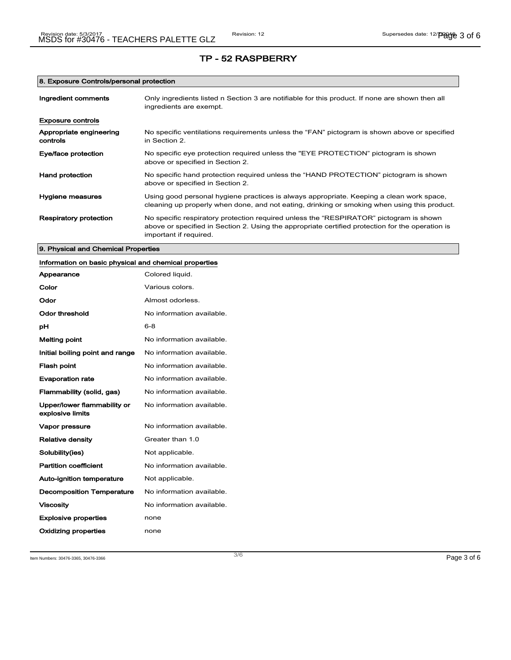# 8. Exposure Controls/personal protection

| Ingredient comments                 | Only ingredients listed n Section 3 are notifiable for this product. If none are shown then all<br>ingredients are exempt.                                                                                           |
|-------------------------------------|----------------------------------------------------------------------------------------------------------------------------------------------------------------------------------------------------------------------|
| <b>Exposure controls</b>            |                                                                                                                                                                                                                      |
| Appropriate engineering<br>controls | No specific ventilations requirements unless the "FAN" pictogram is shown above or specified<br>in Section 2.                                                                                                        |
| Eye/face protection                 | No specific eye protection required unless the "EYE PROTECTION" pictogram is shown<br>above or specified in Section 2.                                                                                               |
| Hand protection                     | No specific hand protection required unless the "HAND PROTECTION" pictogram is shown<br>above or specified in Section 2.                                                                                             |
| Hygiene measures                    | Using good personal hygiene practices is always appropriate. Keeping a clean work space,<br>cleaning up properly when done, and not eating, drinking or smoking when using this product.                             |
| <b>Respiratory protection</b>       | No specific respiratory protection required unless the "RESPIRATOR" pictogram is shown<br>above or specified in Section 2. Using the appropriate certified protection for the operation is<br>important if required. |

# 9. Physical and Chemical Properties

| Information on basic physical and chemical properties |                           |
|-------------------------------------------------------|---------------------------|
| Appearance                                            | Colored liquid.           |
| Color                                                 | Various colors.           |
| Odor                                                  | Almost odorless.          |
| <b>Odor threshold</b>                                 | No information available. |
| рH                                                    | $6 - 8$                   |
| <b>Melting point</b>                                  | No information available. |
| Initial boiling point and range                       | No information available. |
| <b>Flash point</b>                                    | No information available. |
| <b>Evaporation rate</b>                               | No information available. |
| Flammability (solid, gas)                             | No information available. |
| Upper/lower flammability or<br>explosive limits       | No information available. |
| Vapor pressure                                        | No information available. |
| <b>Relative density</b>                               | Greater than 1.0          |
| Solubility(ies)                                       | Not applicable.           |
| <b>Partition coefficient</b>                          | No information available. |
| <b>Auto-ignition temperature</b>                      | Not applicable.           |
| <b>Decomposition Temperature</b>                      | No information available. |
| <b>Viscosity</b>                                      | No information available. |
| <b>Explosive properties</b>                           | none                      |
| Oxidizing properties                                  | none                      |

Item Numbers: 30476-3365, 30476-3366 Page 3 of 6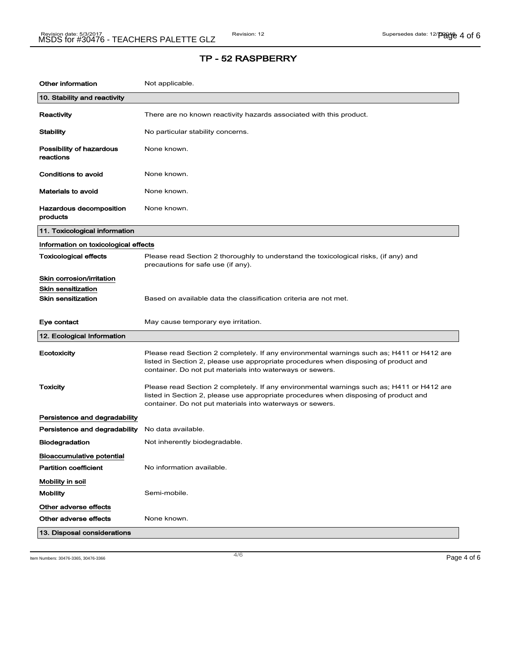| Other information                     | Not applicable.                                                                                                                                                                                                                                |
|---------------------------------------|------------------------------------------------------------------------------------------------------------------------------------------------------------------------------------------------------------------------------------------------|
| 10. Stability and reactivity          |                                                                                                                                                                                                                                                |
| Reactivity                            | There are no known reactivity hazards associated with this product.                                                                                                                                                                            |
| Stability                             | No particular stability concerns.                                                                                                                                                                                                              |
| Possibility of hazardous<br>reactions | None known.                                                                                                                                                                                                                                    |
| <b>Conditions to avoid</b>            | None known.                                                                                                                                                                                                                                    |
| Materials to avoid                    | None known.                                                                                                                                                                                                                                    |
| Hazardous decomposition<br>products   | None known.                                                                                                                                                                                                                                    |
| 11. Toxicological information         |                                                                                                                                                                                                                                                |
| Information on toxicological effects  |                                                                                                                                                                                                                                                |
| Toxicological effects                 | Please read Section 2 thoroughly to understand the toxicological risks, (if any) and<br>precautions for safe use (if any).                                                                                                                     |
| Skin corrosion/irritation             |                                                                                                                                                                                                                                                |
| Skin sensitization                    |                                                                                                                                                                                                                                                |
| <b>Skin sensitization</b>             | Based on available data the classification criteria are not met.                                                                                                                                                                               |
| Eye contact                           | May cause temporary eye irritation.                                                                                                                                                                                                            |
| 12. Ecological Information            |                                                                                                                                                                                                                                                |
| Ecotoxicity                           | Please read Section 2 completely. If any environmental warnings such as; H411 or H412 are<br>listed in Section 2, please use appropriate procedures when disposing of product and<br>container. Do not put materials into waterways or sewers. |
| <b>Toxicity</b>                       | Please read Section 2 completely. If any environmental warnings such as; H411 or H412 are<br>listed in Section 2, please use appropriate procedures when disposing of product and<br>container. Do not put materials into waterways or sewers. |
| Persistence and degradability         |                                                                                                                                                                                                                                                |
| Persistence and degradability         | No data available.                                                                                                                                                                                                                             |
| <b>Biodegradation</b>                 | Not inherently biodegradable.                                                                                                                                                                                                                  |
| <b>Bioaccumulative potential</b>      |                                                                                                                                                                                                                                                |
| <b>Partition coefficient</b>          | No information available.                                                                                                                                                                                                                      |
| Mobility in soil                      |                                                                                                                                                                                                                                                |
| <b>Mobility</b>                       | Semi-mobile.                                                                                                                                                                                                                                   |
| Other adverse effects                 |                                                                                                                                                                                                                                                |
| Other adverse effects                 | None known.                                                                                                                                                                                                                                    |
| 13. Disposal considerations           |                                                                                                                                                                                                                                                |

Item Numbers: 30476-3365, 30476-3366  $\overline{P}$   $\overline{P}$   $\overline{P}$   $\overline{P}$   $\overline{P}$   $\overline{P}$   $\overline{P}$   $\overline{P}$   $\overline{P}$   $\overline{P}$   $\overline{P}$   $\overline{P}$   $\overline{P}$   $\overline{P}$   $\overline{P}$   $\overline{P}$   $\overline{P}$   $\overline{P}$   $\overline{P}$   $\overline{P}$   $\overline$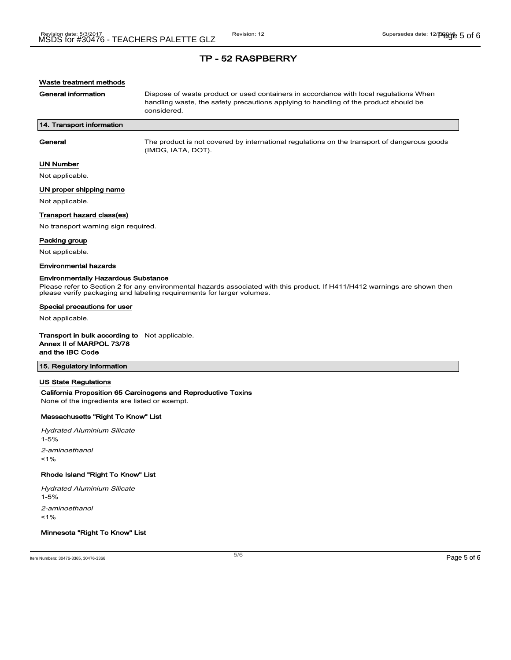## Waste treatment methods

General information **Dispose of waste product or used containers in accordance with local regulations When** handling waste, the safety precautions applying to handling of the product should be considered.

## 14. Transport information

General The product is not covered by international regulations on the transport of dangerous goods (IMDG, IATA, DOT).

## UN Number

Not applicable.

#### UN proper shipping name

Not applicable.

#### Transport hazard class(es)

No transport warning sign required.

#### Packing group

Not applicable.

#### Environmental hazards

#### Environmentally Hazardous Substance

Please refer to Section 2 for any environmental hazards associated with this product. If H411/H412 warnings are shown then please verify packaging and labeling requirements for larger volumes.

#### Special precautions for user

Not applicable.

#### Transport in bulk according to Not applicable. Annex II of MARPOL 73/78

and the IBC Code

# 15. Regulatory information

#### US State Regulations

# California Proposition 65 Carcinogens and Reproductive Toxins

None of the ingredients are listed or exempt.

# Massachusetts "Right To Know" List

Hydrated Aluminium Silicate 1-5% 2-aminoethanol  $1%$ 

#### Rhode Island "Right To Know" List

Hydrated Aluminium Silicate

1-5%

2-aminoethanol

 $1%$ 

# Minnesota "Right To Know" List